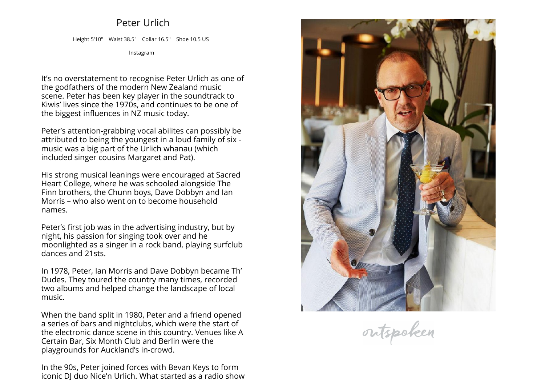## **Peter Urlich**

**Height 5'10" Waist 38.5" Collar 16.5" Shoe 10.5 US**

**[Instagram](https://www.instagram.com/peter.urlich)**

**It's no overstatement to recognise Peter Urlich as one of the godfathers of the modern New Zealand music scene. Peter has been key <sup>p</sup>layer in the soundtrack to Kiwis' lives since the 1970s, and continues to be one of the biggest influences in NZ music today.**

**Peter's attention-grabbing vocal abilites can possibly be attributed to being the youngest in <sup>a</sup> loud family of six - music was <sup>a</sup> big part of the Urlich whanau (which included singer cousins Margaret and Pat).**

**His strong musical leanings were encouraged at Sacred Heart College, where he was schooled alongside The Finn brothers, the Chunn boys, Dave Dobbyn and Ian Morris – who also went on to become household names.**

**Peter's first job was in the advertising industry, but by night, his passion for singing took over and he moonlighted as <sup>a</sup> singer in <sup>a</sup> rock band, <sup>p</sup>laying surfclub dances and 21sts.**

**In 1978, Peter, Ian Morris and Dave Dobbyn became Th' Dudes. They toured the country many times, recorded two albums and helped change the landscape of local music.**

**When the band split in 1980, Peter and <sup>a</sup> friend opened a series of bars and nightclubs, which were the start of the electronic dance scene in this country. Venues like <sup>A</sup>Certain Bar, Six Month Club and Berlin were the playgrounds for Auckland's in-crowd.**

**In the 90s, Peter joined forces with Bevan Keys to formiconic DJ duo Nice'n Urlich. What started as <sup>a</sup> radio show**



outspoken